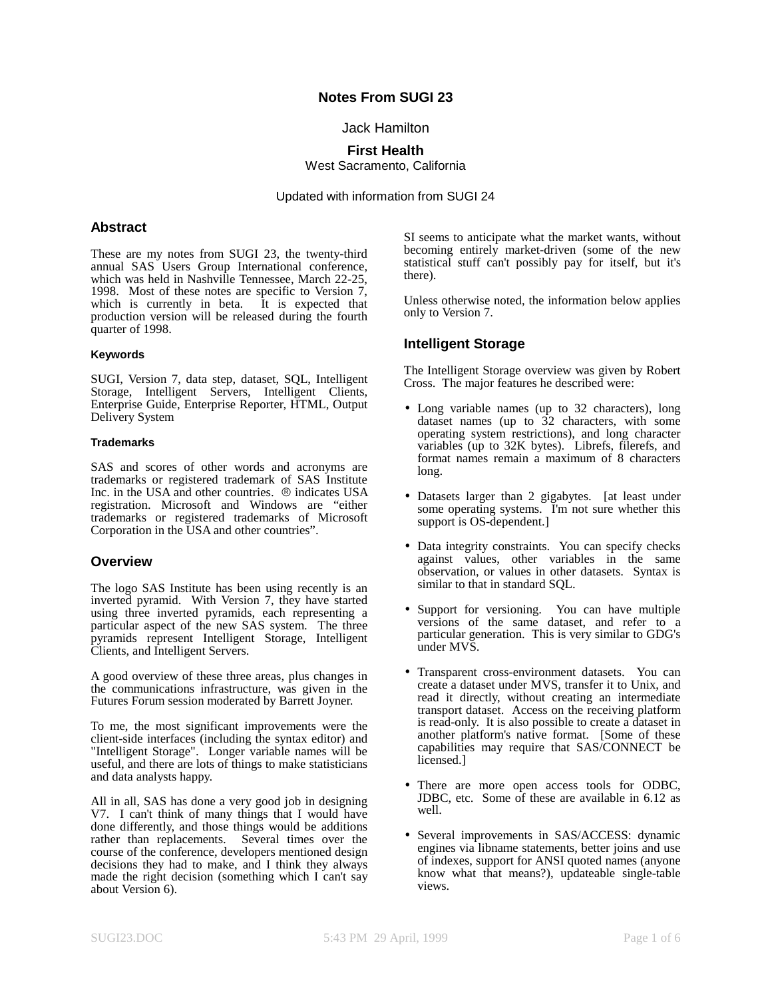## **Notes From SUGI 23**

Jack Hamilton

**First Health** West Sacramento, California

Updated with information from SUGI 24

### **Abstract**

These are my notes from SUGI 23, the twenty-third annual SAS Users Group International conference, which was held in Nashville Tennessee, March 22-25, 1998. Most of these notes are specific to Version 7, which is currently in beta. It is expected that production version will be released during the fourth quarter of 1998.

#### **Keywords**

SUGI, Version 7, data step, dataset, SQL, Intelligent Storage, Intelligent Servers, Intelligent Clients, Enterprise Guide, Enterprise Reporter, HTML, Output Delivery System

#### **Trademarks**

SAS and scores of other words and acronyms are trademarks or registered trademark of SAS Institute Inc. in the USA and other countries.  $\circledR$  indicates USA registration. Microsoft and Windows are "either trademarks or registered trademarks of Microsoft Corporation in the USA and other countries".

### **Overview**

The logo SAS Institute has been using recently is an inverted pyramid. With Version 7, they have started using three inverted pyramids, each representing a particular aspect of the new SAS system. The three pyramids represent Intelligent Storage, Intelligent Clients, and Intelligent Servers.

A good overview of these three areas, plus changes in the communications infrastructure, was given in the Futures Forum session moderated by Barrett Joyner.

To me, the most significant improvements were the client-side interfaces (including the syntax editor) and "Intelligent Storage". Longer variable names will be useful, and there are lots of things to make statisticians and data analysts happy.

All in all, SAS has done a very good job in designing V7. I can't think of many things that I would have done differently, and those things would be additions rather than replacements. Several times over the course of the conference, developers mentioned design decisions they had to make, and I think they always made the right decision (something which I can't say about Version 6).

SI seems to anticipate what the market wants, without becoming entirely market-driven (some of the new statistical stuff can't possibly pay for itself, but it's there).

Unless otherwise noted, the information below applies only to Version 7.

## **Intelligent Storage**

The Intelligent Storage overview was given by Robert Cross. The major features he described were:

- Long variable names (up to 32 characters), long dataset names (up to 32 characters, with some operating system restrictions), and long character variables (up to 32K bytes). Librefs, filerefs, and format names remain a maximum of 8 characters long.
- Datasets larger than 2 gigabytes. [at least under some operating systems. I'm not sure whether this support is OS-dependent.]
- Data integrity constraints. You can specify checks against values, other variables in the same observation, or values in other datasets. Syntax is similar to that in standard SQL.
- Support for versioning. You can have multiple versions of the same dataset, and refer to a particular generation. This is very similar to GDG's under MVS.
- Transparent cross-environment datasets. You can create a dataset under MVS, transfer it to Unix, and read it directly, without creating an intermediate transport dataset. Access on the receiving platform is read-only. It is also possible to create a dataset in another platform's native format. [Some of these capabilities may require that SAS/CONNECT be licensed.]
- There are more open access tools for ODBC, JDBC, etc. Some of these are available in 6.12 as well.
- Several improvements in SAS/ACCESS: dynamic engines via libname statements, better joins and use of indexes, support for ANSI quoted names (anyone know what that means?), updateable single-table views.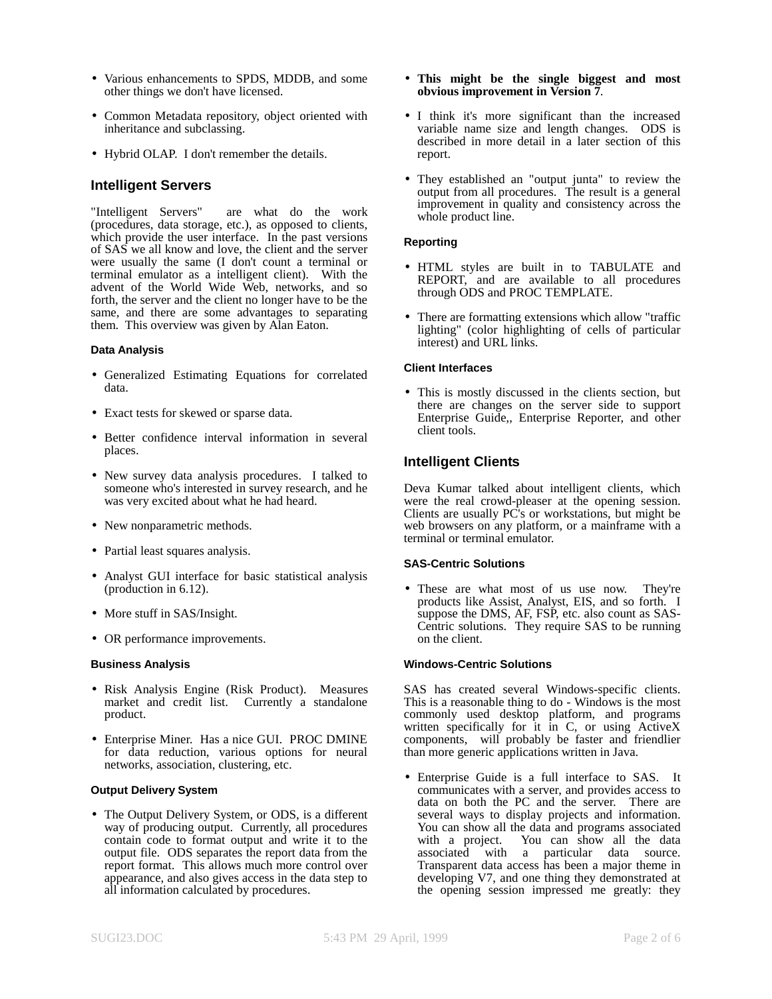- Various enhancements to SPDS, MDDB, and some other things we don't have licensed.
- Common Metadata repository, object oriented with inheritance and subclassing.
- Hybrid OLAP. I don't remember the details.

### **Intelligent Servers**

"Intelligent Servers" are what do the work (procedures, data storage, etc.), as opposed to clients, which provide the user interface. In the past versions of SAS we all know and love, the client and the server were usually the same (I don't count a terminal or terminal emulator as a intelligent client). With the advent of the World Wide Web, networks, and so forth, the server and the client no longer have to be the same, and there are some advantages to separating them. This overview was given by Alan Eaton.

#### **Data Analysis**

- Generalized Estimating Equations for correlated data.
- Exact tests for skewed or sparse data.
- Better confidence interval information in several places.
- New survey data analysis procedures. I talked to someone who's interested in survey research, and he was very excited about what he had heard.
- New nonparametric methods.
- Partial least squares analysis.
- Analyst GUI interface for basic statistical analysis (production in 6.12).
- More stuff in SAS/Insight.
- OR performance improvements.

#### **Business Analysis**

- Risk Analysis Engine (Risk Product). Measures market and credit list. Currently a standalone product.
- Enterprise Miner. Has a nice GUI. PROC DMINE for data reduction, various options for neural networks, association, clustering, etc.

#### **Output Delivery System**

• The Output Delivery System, or ODS, is a different way of producing output. Currently, all procedures contain code to format output and write it to the output file. ODS separates the report data from the report format. This allows much more control over appearance, and also gives access in the data step to all information calculated by procedures.

- **This might be the single biggest and most obvious improvement in Version 7**.
- I think it's more significant than the increased variable name size and length changes. ODS is described in more detail in a later section of this report.
- They established an "output junta" to review the output from all procedures. The result is a general improvement in quality and consistency across the whole product line.

#### **Reporting**

- HTML styles are built in to TABULATE and REPORT, and are available to all procedures through ODS and PROC TEMPLATE.
- There are formatting extensions which allow "traffic lighting" (color highlighting of cells of particular interest) and URL links.

#### **Client Interfaces**

• This is mostly discussed in the clients section, but there are changes on the server side to support Enterprise Guide,, Enterprise Reporter, and other client tools.

### **Intelligent Clients**

Deva Kumar talked about intelligent clients, which were the real crowd-pleaser at the opening session. Clients are usually PC's or workstations, but might be web browsers on any platform, or a mainframe with a terminal or terminal emulator.

#### **SAS-Centric Solutions**

• These are what most of us use now. They're products like Assist, Analyst, EIS, and so forth. I suppose the DMS, AF, FSP, etc. also count as SAS-Centric solutions. They require SAS to be running on the client.

#### **Windows-Centric Solutions**

SAS has created several Windows-specific clients. This is a reasonable thing to do - Windows is the most commonly used desktop platform, and programs written specifically for it in C, or using ActiveX components, will probably be faster and friendlier than more generic applications written in Java.

• Enterprise Guide is a full interface to SAS. It communicates with a server, and provides access to data on both the PC and the server. There are several ways to display projects and information. You can show all the data and programs associated with a project. You can show all the data associated with a particular data source. Transparent data access has been a major theme in developing V7, and one thing they demonstrated at the opening session impressed me greatly: they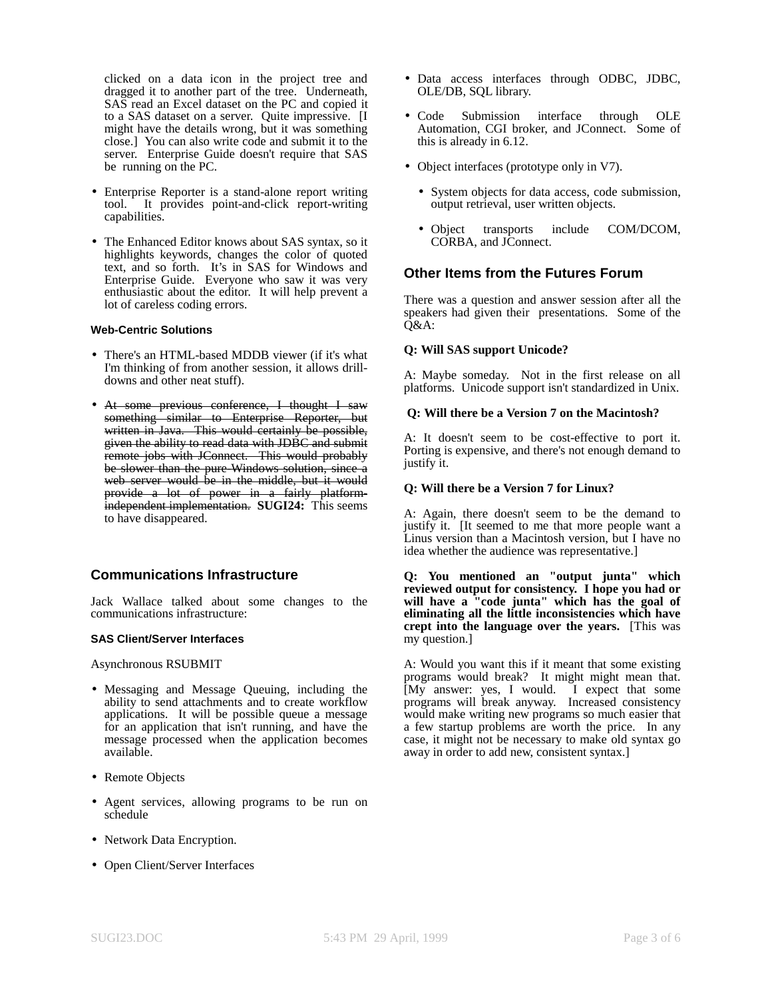clicked on a data icon in the project tree and dragged it to another part of the tree. Underneath, SAS read an Excel dataset on the PC and copied it to a SAS dataset on a server. Quite impressive. [I might have the details wrong, but it was something close.] You can also write code and submit it to the server. Enterprise Guide doesn't require that SAS be running on the PC.

- Enterprise Reporter is a stand-alone report writing tool. It provides point-and-click report-writing capabilities.
- The Enhanced Editor knows about SAS syntax, so it highlights keywords, changes the color of quoted text, and so forth. It's in SAS for Windows and Enterprise Guide. Everyone who saw it was very enthusiastic about the editor. It will help prevent a lot of careless coding errors.

#### **Web-Centric Solutions**

- There's an HTML-based MDDB viewer (if it's what I'm thinking of from another session, it allows drilldowns and other neat stuff).
- At some previous conference, I thought I saw something similar to Enterprise Reporter, but written in Java. This would certainly be possible, given the ability to read data with JDBC and submit remote jobs with JConnect. This would probably be slower than the pure-Windows solution, since a web server would be in the middle, but it would provide a lot of power in a fairly platformindependent implementation. **SUGI24:** This seems to have disappeared.

## **Communications Infrastructure**

Jack Wallace talked about some changes to the communications infrastructure:

#### **SAS Client/Server Interfaces**

Asynchronous RSUBMIT

- Messaging and Message Queuing, including the ability to send attachments and to create workflow applications. It will be possible queue a message for an application that isn't running, and have the message processed when the application becomes available.
- Remote Objects
- Agent services, allowing programs to be run on schedule
- Network Data Encryption.
- Open Client/Server Interfaces
- Data access interfaces through ODBC, JDBC, OLE/DB, SQL library.
- Code Submission interface through OLE Automation, CGI broker, and JConnect. Some of this is already in 6.12.
- Object interfaces (prototype only in V7).
	- System objects for data access, code submission, output retrieval, user written objects.
	- Object transports include COM/DCOM, CORBA, and JConnect.

### **Other Items from the Futures Forum**

There was a question and answer session after all the speakers had given their presentations. Some of the Q&A:

#### **Q: Will SAS support Unicode?**

A: Maybe someday. Not in the first release on all platforms. Unicode support isn't standardized in Unix.

#### **Q: Will there be a Version 7 on the Macintosh?**

A: It doesn't seem to be cost-effective to port it. Porting is expensive, and there's not enough demand to justify it.

#### **Q: Will there be a Version 7 for Linux?**

A: Again, there doesn't seem to be the demand to justify it. [It seemed to me that more people want a Linus version than a Macintosh version, but I have no idea whether the audience was representative.]

**Q: You mentioned an "output junta" which reviewed output for consistency. I hope you had or will have a "code junta" which has the goal of eliminating all the little inconsistencies which have crept into the language over the years.** [This was my question.]

A: Would you want this if it meant that some existing programs would break? It might might mean that. [My answer: yes, I would. I expect that some programs will break anyway. Increased consistency would make writing new programs so much easier that a few startup problems are worth the price. In any case, it might not be necessary to make old syntax go away in order to add new, consistent syntax.]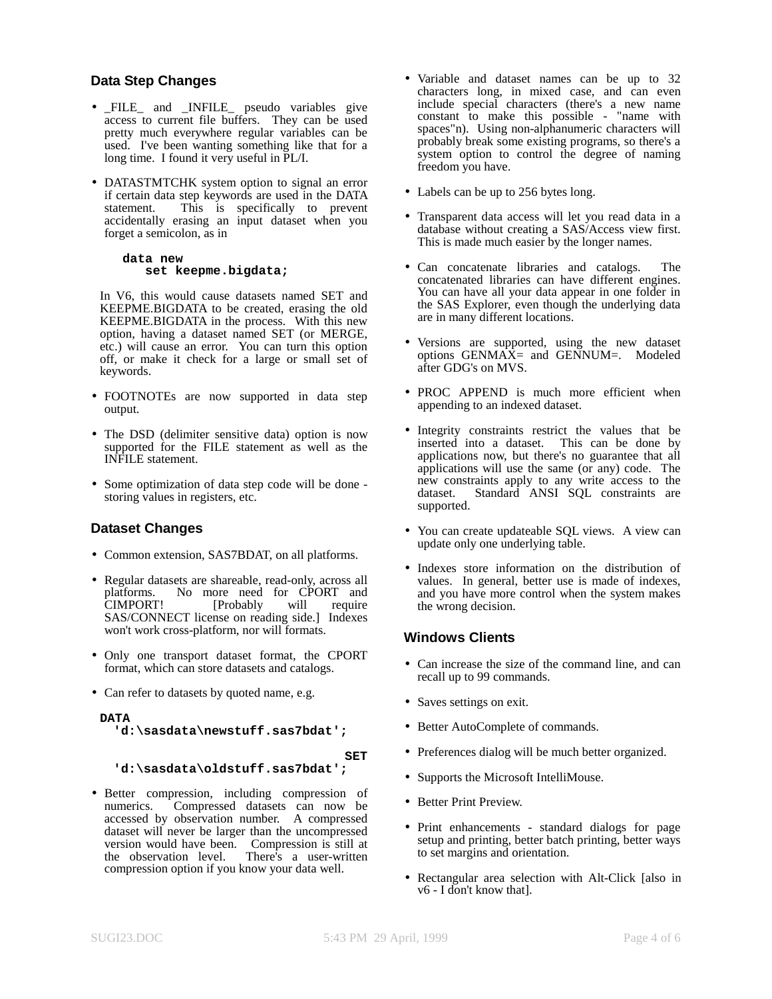### **Data Step Changes**

- \_FILE\_ and \_INFILE\_ pseudo variables give access to current file buffers. They can be used pretty much everywhere regular variables can be used. I've been wanting something like that for a long time. I found it very useful in  $\text{PL}/\text{I}$ .
- DATASTMTCHK system option to signal an error if certain data step keywords are used in the DATA statement. This is specifically to prevent accidentally erasing an input dataset when you forget a semicolon, as in

#### **data new set keepme.bigdata;**

In V6, this would cause datasets named SET and KEEPME.BIGDATA to be created, erasing the old KEEPME.BIGDATA in the process. With this new option, having a dataset named SET (or MERGE, etc.) will cause an error. You can turn this option off, or make it check for a large or small set of keywords.

- FOOTNOTEs are now supported in data step output.
- The DSD (delimiter sensitive data) option is now supported for the FILE statement as well as the INFILE statement.
- Some optimization of data step code will be done storing values in registers, etc.

## **Dataset Changes**

- Common extension, SAS7BDAT, on all platforms.
- Regular datasets are shareable, read-only, across all platforms. No more need for CPORT and CIMPORT! [Probably will require SAS/CONNECT license on reading side.] Indexes won't work cross-platform, nor will formats.
- Only one transport dataset format, the CPORT format, which can store datasets and catalogs.
- Can refer to datasets by quoted name, e.g.

**DATA 'd:\sasdata\newstuff.sas7bdat';**

**SET**

### **'d:\sasdata\oldstuff.sas7bdat';**

• Better compression, including compression of Compressed datasets can now be accessed by observation number. A compressed dataset will never be larger than the uncompressed version would have been. Compression is still at the observation level. There's a user-written There's a user-written compression option if you know your data well.

- Variable and dataset names can be up to 32 characters long, in mixed case, and can even include special characters (there's a new name constant to make this possible - "name with spaces"n). Using non-alphanumeric characters will probably break some existing programs, so there's a system option to control the degree of naming freedom you have.
- Labels can be up to 256 bytes long.
- Transparent data access will let you read data in a database without creating a SAS/Access view first. This is made much easier by the longer names.
- Can concatenate libraries and catalogs. The concatenated libraries can have different engines. You can have all your data appear in one folder in the SAS Explorer, even though the underlying data are in many different locations.
- Versions are supported, using the new dataset options  $GENMAX =$  and  $GENNUM =$ . Modeled after GDG's on MVS.
- PROC APPEND is much more efficient when appending to an indexed dataset.
- Integrity constraints restrict the values that be inserted into a dataset. This can be done by applications now, but there's no guarantee that all applications will use the same (or any) code. The new constraints apply to any write access to the dataset. Standard ANSI SQL constraints are Standard ANSI SQL constraints are supported.
- You can create updateable SQL views. A view can update only one underlying table.
- Indexes store information on the distribution of values. In general, better use is made of indexes, and you have more control when the system makes the wrong decision.

## **Windows Clients**

- Can increase the size of the command line, and can recall up to 99 commands.
- Saves settings on exit.
- Better AutoComplete of commands.
- Preferences dialog will be much better organized.
- Supports the Microsoft IntelliMouse.
- Better Print Preview.
- Print enhancements standard dialogs for page setup and printing, better batch printing, better ways to set margins and orientation.
- Rectangular area selection with Alt-Click [also in v6 - I don't know that].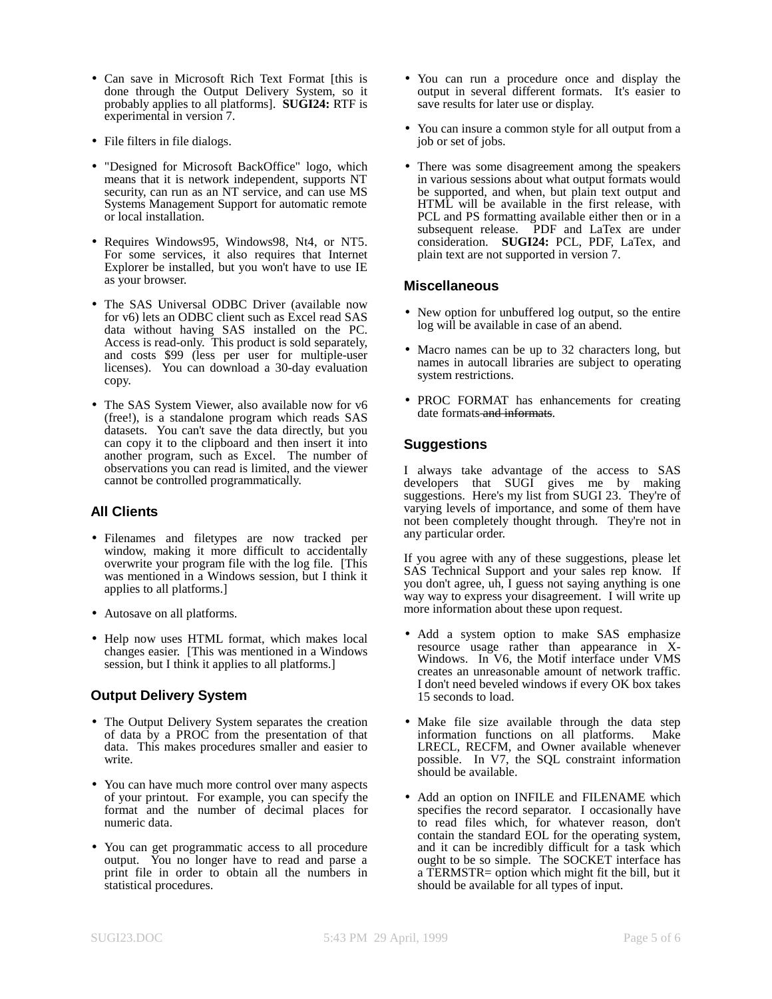- Can save in Microsoft Rich Text Format [this is done through the Output Delivery System, so it probably applies to all platforms]. **SUGI24:** RTF is experimental in version 7.
- File filters in file dialogs.
- "Designed for Microsoft BackOffice" logo, which means that it is network independent, supports NT security, can run as an NT service, and can use MS Systems Management Support for automatic remote or local installation.
- Requires Windows95, Windows98, Nt4, or NT5. For some services, it also requires that Internet Explorer be installed, but you won't have to use IE as your browser.
- The SAS Universal ODBC Driver (available now for v6) lets an ODBC client such as Excel read SAS data without having SAS installed on the PC. Access is read-only. This product is sold separately, and costs \$99 (less per user for multiple-user licenses). You can download a 30-day evaluation copy.
- The SAS System Viewer, also available now for  $v6$ (free!), is a standalone program which reads SAS datasets. You can't save the data directly, but you can copy it to the clipboard and then insert it into another program, such as Excel. The number of observations you can read is limited, and the viewer cannot be controlled programmatically.

## **All Clients**

- Filenames and filetypes are now tracked per window, making it more difficult to accidentally overwrite your program file with the log file. [This was mentioned in a Windows session, but I think it applies to all platforms.]
- Autosave on all platforms.
- Help now uses HTML format, which makes local changes easier. [This was mentioned in a Windows session, but I think it applies to all platforms.]

# **Output Delivery System**

- The Output Delivery System separates the creation of data by a PROC from the presentation of that data. This makes procedures smaller and easier to write.
- You can have much more control over many aspects of your printout. For example, you can specify the format and the number of decimal places for numeric data.
- You can get programmatic access to all procedure output. You no longer have to read and parse a print file in order to obtain all the numbers in statistical procedures.
- You can run a procedure once and display the output in several different formats. It's easier to save results for later use or display.
- You can insure a common style for all output from a job or set of jobs.
- There was some disagreement among the speakers in various sessions about what output formats would be supported, and when, but plain text output and HTML will be available in the first release, with PCL and PS formatting available either then or in a subsequent release. PDF and LaTex are under consideration. **SUGI24:** PCL, PDF, LaTex, and plain text are not supported in version 7.

# **Miscellaneous**

- New option for unbuffered log output, so the entire log will be available in case of an abend.
- Macro names can be up to 32 characters long, but names in autocall libraries are subject to operating system restrictions.
- PROC FORMAT has enhancements for creating date formats and informats.

# **Suggestions**

I always take advantage of the access to SAS developers that SUGI gives me by making suggestions. Here's my list from SUGI 23. They're of varying levels of importance, and some of them have not been completely thought through. They're not in any particular order.

If you agree with any of these suggestions, please let SAS Technical Support and your sales rep know. If you don't agree, uh, I guess not saying anything is one way way to express your disagreement. I will write up more information about these upon request.

- Add a system option to make SAS emphasize resource usage rather than appearance in X-Windows. In V6, the Motif interface under VMS creates an unreasonable amount of network traffic. I don't need beveled windows if every OK box takes 15 seconds to load.
- Make file size available through the data step information functions on all platforms. Make LRECL, RECFM, and Owner available whenever possible. In V7, the SQL constraint information should be available.
- Add an option on INFILE and FILENAME which specifies the record separator. I occasionally have to read files which, for whatever reason, don't contain the standard EOL for the operating system, and it can be incredibly difficult for a task which ought to be so simple. The SOCKET interface has a TERMSTR= option which might fit the bill, but it should be available for all types of input.